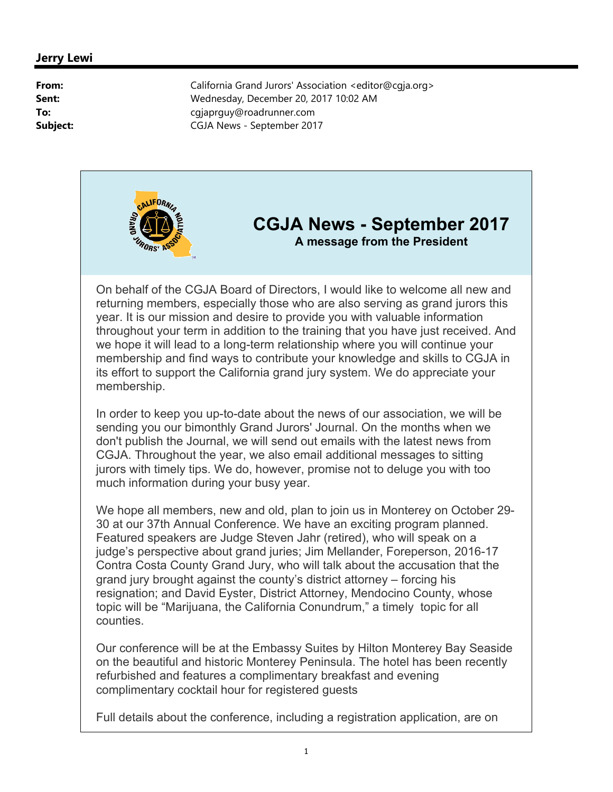

## **CGJA News - September 2017 A message from the President**

On behalf of the CGJA Board of Directors, I would like to welcome all new and returning members, especially those who are also serving as grand jurors this year. It is our mission and desire to provide you with valuable information throughout your term in addition to the training that you have just received. And we hope it will lead to a long-term relationship where you will continue your membership and find ways to contribute your knowledge and skills to CGJA in its effort to support the California grand jury system. We do appreciate your membership.

In order to keep you up-to-date about the news of our association, we will be sending you our bimonthly Grand Jurors' Journal. On the months when we don't publish the Journal, we will send out emails with the latest news from CGJA. Throughout the year, we also email additional messages to sitting jurors with timely tips. We do, however, promise not to deluge you with too much information during your busy year.

We hope all members, new and old, plan to join us in Monterey on October 29- 30 at our 37th Annual Conference. We have an exciting program planned. Featured speakers are Judge Steven Jahr (retired), who will speak on a judge's perspective about grand juries; Jim Mellander, Foreperson, 2016-17 Contra Costa County Grand Jury, who will talk about the accusation that the grand jury brought against the county's district attorney – forcing his resignation; and David Eyster, District Attorney, Mendocino County, whose topic will be "Marijuana, the California Conundrum," a timely topic for all counties.

Our conference will be at the Embassy Suites by Hilton Monterey Bay Seaside on the beautiful and historic Monterey Peninsula. The hotel has been recently refurbished and features a complimentary breakfast and evening complimentary cocktail hour for registered guests

Full details about the conference, including a registration application, are on